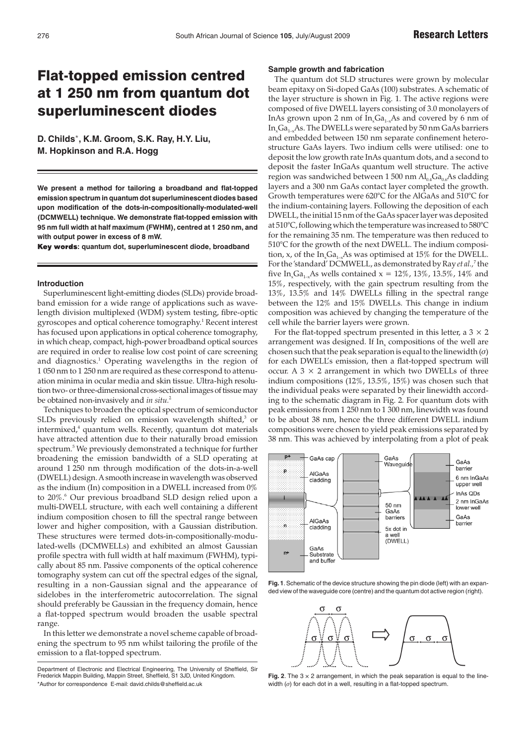# Flat-topped emission centred at 1 250 nm from quantum dot superluminescent diodes

**D. Childs**\***, K.M. Groom, S.K. Ray, H.Y. Liu, M. Hopkinson and R.A. Hogg**

**We present a method for tailoring a broadband and flat-topped emission spectrum in quantum dot superluminescent diodes based upon modification of the dots-in-compositionally-modulated-well (DCMWELL) technique. We demonstrate flat-topped emission with 95 nm full width at half maximum (FWHM), centred at 1 250 nm, and with output power in excess of 8 mW.**

Key words: quantum dot, superluminescent diode, broadband

## **Introduction**

Superluminescent light-emitting diodes (SLDs) provide broadband emission for a wide range of applications such as wavelength division multiplexed (WDM) system testing, fibre-optic gyroscopes and optical coherence tomography.1 Recent interest has focused upon applications in optical coherence tomography, in which cheap, compact, high-power broadband optical sources are required in order to realise low cost point of care screening and diagnostics.<sup>1</sup> Operating wavelengths in the region of 1 050 nm to 1 250 nm are required as these correspond to attenuation minima in ocular media and skin tissue. Ultra-high resolution two- or three-dimensional cross-sectional images of tissue may be obtained non-invasively and *in situ.*<sup>2</sup>

Techniques to broaden the optical spectrum of semiconductor SLDs previously relied on emission wavelength shifted, $3$  or intermixed,<sup>4</sup> quantum wells. Recently, quantum dot materials have attracted attention due to their naturally broad emission spectrum.5 We previously demonstrated a technique for further broadening the emission bandwidth of a SLD operating at around 1 250 nm through modification of the dots-in-a-well (DWELL) design. Asmooth increase in wavelength was observed as the indium (In) composition in a DWELL increased from 0% to 20%.<sup>6</sup> Our previous broadband SLD design relied upon a multi-DWELL structure, with each well containing a different indium composition chosen to fill the spectral range between lower and higher composition, with a Gaussian distribution. These structures were termed dots-in-compositionally-modulated-wells (DCMWELLs) and exhibited an almost Gaussian profile spectra with full width at half maximum (FWHM), typically about 85 nm. Passive components of the optical coherence tomography system can cut off the spectral edges of the signal, resulting in a non-Gaussian signal and the appearance of sidelobes in the interferometric autocorrelation. The signal should preferably be Gaussian in the frequency domain, hence a flat-topped spectrum would broaden the usable spectral range.

In this letter we demonstrate a novel scheme capable of broadening the spectrum to 95 nm whilst tailoring the profile of the emission to a flat-topped spectrum.

#### **Sample growth and fabrication**

The quantum dot SLD structures were grown by molecular beam epitaxy on Si-doped GaAs (100) substrates. A schematic of the layer structure is shown in Fig. 1. The active regions were composed of five DWELL layers consisting of 3.0 monolayers of InAs grown upon 2 nm of  $In_{\mathcal{A}}Ga_{1-x}As$  and covered by 6 nm of  $In_{x}Ga_{1-x}As.$  The DWELLs were separated by 50 nm GaAs barriers and embedded between 150 nm separate confinement heterostructure GaAs layers. Two indium cells were utilised: one to deposit the low growth rate InAs quantum dots, and a second to deposit the faster InGaAs quantum well structure. The active region was sandwiched between 1 500 nm  $Al_{0.4}Ga_{0.6}As$  cladding layers and a 300 nm GaAs contact layer completed the growth. Growth temperatures were 620°C for the AlGaAs and 510°C for the indium-containing layers. Following the deposition of each DWELL, the initial 15 nm of the GaAs spacer layer was deposited at 510°C, following which the temperature was increased to 580°C for the remaining 35 nm. The temperature was then reduced to 510°C for the growth of the next DWELL. The indium composition, x, of the  $In_xGa_{1-x}As$  was optimised at 15% for the DWELL. For the 'standard' DCMWELL, as demonstrated by Ray *et al.,*<sup>7</sup> the five In<sub>x</sub>Ga<sub>1-x</sub>As wells contained  $x = 12\%$ , 13%, 13.5%, 14% and 15%, respectively, with the gain spectrum resulting from the 13%, 13.5% and 14% DWELLs filling in the spectral range between the 12% and 15% DWELLs. This change in indium composition was achieved by changing the temperature of the cell while the barrier layers were grown.

For the flat-topped spectrum presented in this letter, a  $3 \times 2$ arrangement was designed. If  $In_{x}$  compositions of the well are chosen such that the peak separation is equal to the linewidth  $(\sigma)$ for each DWELL's emission, then a flat-topped spectrum will occur. A  $3 \times 2$  arrangement in which two DWELLs of three indium compositions (12%, 13.5%, 15%) was chosen such that the individual peaks were separated by their linewidth according to the schematic diagram in Fig. 2. For quantum dots with peak emissions from 1 250 nm to 1 300 nm, linewidth was found to be about 38 nm, hence the three different DWELL indium compositions were chosen to yield peak emissions separated by 38 nm. This was achieved by interpolating from a plot of peak



**Fig. 1**.Schematic of the device structure showing the pin diode (left) with an expanded view of the waveguide core (centre) and the quantum dot active region (right).



**Fig. 2.** The  $3 \times 2$  arrangement, in which the peak separation is equal to the linewidth  $(σ)$  for each dot in a well, resulting in a flat-topped spectrum.

Department of Electronic and Electrical Engineering, The University of Sheffield, Sir Frederick Mappin Building, Mappin Street, Sheffield, S1 3JD, United Kingdom. \*Author for correspondence E-mail: david.childs@sheffield.ac.uk